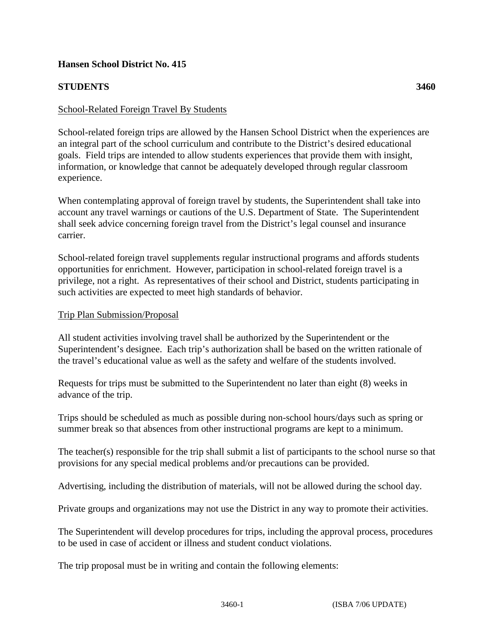## **Hansen School District No. 415**

# **STUDENTS 3460**

### School-Related Foreign Travel By Students

School-related foreign trips are allowed by the Hansen School District when the experiences are an integral part of the school curriculum and contribute to the District's desired educational goals. Field trips are intended to allow students experiences that provide them with insight, information, or knowledge that cannot be adequately developed through regular classroom experience.

When contemplating approval of foreign travel by students, the Superintendent shall take into account any travel warnings or cautions of the U.S. Department of State. The Superintendent shall seek advice concerning foreign travel from the District's legal counsel and insurance carrier.

School-related foreign travel supplements regular instructional programs and affords students opportunities for enrichment. However, participation in school-related foreign travel is a privilege, not a right. As representatives of their school and District, students participating in such activities are expected to meet high standards of behavior.

#### Trip Plan Submission/Proposal

All student activities involving travel shall be authorized by the Superintendent or the Superintendent's designee. Each trip's authorization shall be based on the written rationale of the travel's educational value as well as the safety and welfare of the students involved.

Requests for trips must be submitted to the Superintendent no later than eight (8) weeks in advance of the trip.

Trips should be scheduled as much as possible during non-school hours/days such as spring or summer break so that absences from other instructional programs are kept to a minimum.

The teacher(s) responsible for the trip shall submit a list of participants to the school nurse so that provisions for any special medical problems and/or precautions can be provided.

Advertising, including the distribution of materials, will not be allowed during the school day.

Private groups and organizations may not use the District in any way to promote their activities.

The Superintendent will develop procedures for trips, including the approval process, procedures to be used in case of accident or illness and student conduct violations.

The trip proposal must be in writing and contain the following elements: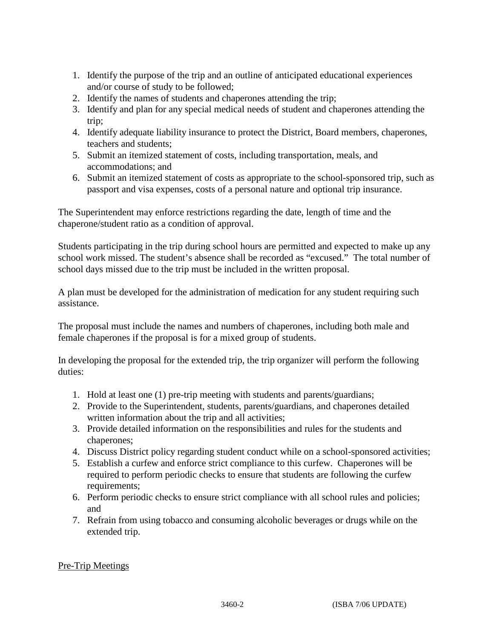- 1. Identify the purpose of the trip and an outline of anticipated educational experiences and/or course of study to be followed;
- 2. Identify the names of students and chaperones attending the trip;
- 3. Identify and plan for any special medical needs of student and chaperones attending the trip;
- 4. Identify adequate liability insurance to protect the District, Board members, chaperones, teachers and students;
- 5. Submit an itemized statement of costs, including transportation, meals, and accommodations; and
- 6. Submit an itemized statement of costs as appropriate to the school-sponsored trip, such as passport and visa expenses, costs of a personal nature and optional trip insurance.

The Superintendent may enforce restrictions regarding the date, length of time and the chaperone/student ratio as a condition of approval.

Students participating in the trip during school hours are permitted and expected to make up any school work missed. The student's absence shall be recorded as "excused." The total number of school days missed due to the trip must be included in the written proposal.

A plan must be developed for the administration of medication for any student requiring such assistance.

The proposal must include the names and numbers of chaperones, including both male and female chaperones if the proposal is for a mixed group of students.

In developing the proposal for the extended trip, the trip organizer will perform the following duties:

- 1. Hold at least one (1) pre-trip meeting with students and parents/guardians;
- 2. Provide to the Superintendent, students, parents/guardians, and chaperones detailed written information about the trip and all activities;
- 3. Provide detailed information on the responsibilities and rules for the students and chaperones;
- 4. Discuss District policy regarding student conduct while on a school-sponsored activities;
- 5. Establish a curfew and enforce strict compliance to this curfew. Chaperones will be required to perform periodic checks to ensure that students are following the curfew requirements;
- 6. Perform periodic checks to ensure strict compliance with all school rules and policies; and
- 7. Refrain from using tobacco and consuming alcoholic beverages or drugs while on the extended trip.

# Pre-Trip Meetings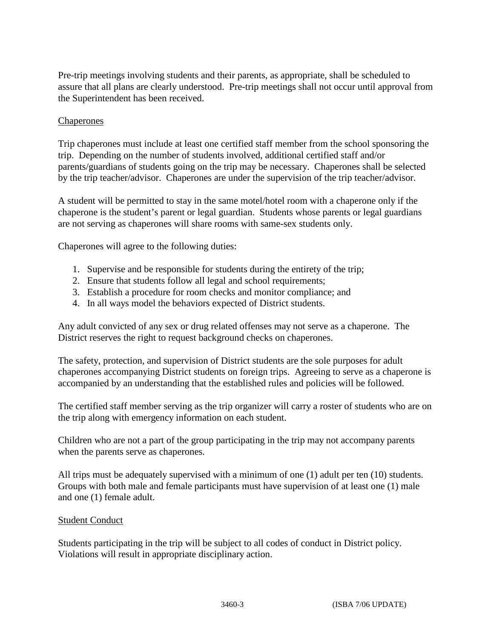Pre-trip meetings involving students and their parents, as appropriate, shall be scheduled to assure that all plans are clearly understood. Pre-trip meetings shall not occur until approval from the Superintendent has been received.

#### Chaperones

Trip chaperones must include at least one certified staff member from the school sponsoring the trip. Depending on the number of students involved, additional certified staff and/or parents/guardians of students going on the trip may be necessary. Chaperones shall be selected by the trip teacher/advisor. Chaperones are under the supervision of the trip teacher/advisor.

A student will be permitted to stay in the same motel/hotel room with a chaperone only if the chaperone is the student's parent or legal guardian. Students whose parents or legal guardians are not serving as chaperones will share rooms with same-sex students only.

Chaperones will agree to the following duties:

- 1. Supervise and be responsible for students during the entirety of the trip;
- 2. Ensure that students follow all legal and school requirements;
- 3. Establish a procedure for room checks and monitor compliance; and
- 4. In all ways model the behaviors expected of District students.

Any adult convicted of any sex or drug related offenses may not serve as a chaperone. The District reserves the right to request background checks on chaperones.

The safety, protection, and supervision of District students are the sole purposes for adult chaperones accompanying District students on foreign trips. Agreeing to serve as a chaperone is accompanied by an understanding that the established rules and policies will be followed.

The certified staff member serving as the trip organizer will carry a roster of students who are on the trip along with emergency information on each student.

Children who are not a part of the group participating in the trip may not accompany parents when the parents serve as chaperones.

All trips must be adequately supervised with a minimum of one (1) adult per ten (10) students. Groups with both male and female participants must have supervision of at least one (1) male and one (1) female adult.

#### Student Conduct

Students participating in the trip will be subject to all codes of conduct in District policy. Violations will result in appropriate disciplinary action.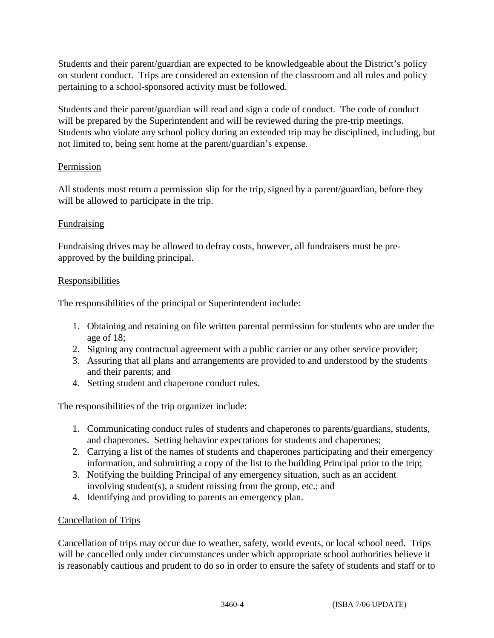Students and their parent/guardian are expected to be knowledgeable about the District's policy on student conduct. Trips are considered an extension of the classroom and all rules and policy pertaining to a school-sponsored activity must be followed.

Students and their parent/guardian will read and sign a code of conduct. The code of conduct will be prepared by the Superintendent and will be reviewed during the pre-trip meetings. Students who violate any school policy during an extended trip may be disciplined, including, but not limited to, being sent home at the parent/guardian's expense.

## Permission

All students must return a permission slip for the trip, signed by a parent/guardian, before they will be allowed to participate in the trip.

## Fundraising

Fundraising drives may be allowed to defray costs, however, all fundraisers must be preapproved by the building principal.

## **Responsibilities**

The responsibilities of the principal or Superintendent include:

- 1. Obtaining and retaining on file written parental permission for students who are under the age of 18;
- 2. Signing any contractual agreement with a public carrier or any other service provider;
- 3. Assuring that all plans and arrangements are provided to and understood by the students and their parents; and
- 4. Setting student and chaperone conduct rules.

The responsibilities of the trip organizer include:

- 1. Communicating conduct rules of students and chaperones to parents/guardians, students, and chaperones. Setting behavior expectations for students and chaperones;
- 2. Carrying a list of the names of students and chaperones participating and their emergency information, and submitting a copy of the list to the building Principal prior to the trip;
- 3. Notifying the building Principal of any emergency situation, such as an accident involving student(s), a student missing from the group, etc.; and
- 4. Identifying and providing to parents an emergency plan.

## Cancellation of Trips

Cancellation of trips may occur due to weather, safety, world events, or local school need. Trips will be cancelled only under circumstances under which appropriate school authorities believe it is reasonably cautious and prudent to do so in order to ensure the safety of students and staff or to